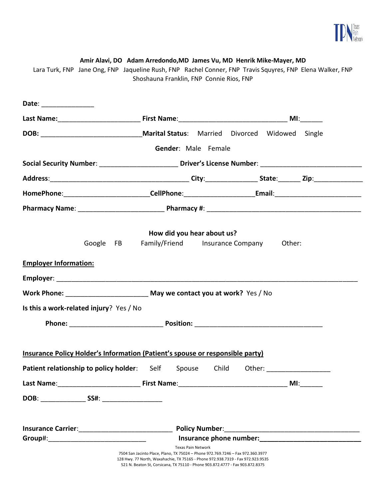

#### **Amir Alavi, DO Adam Arredondo,MD James Vu, MD Henrik Mike-Mayer, MD**

Lara Turk, FNP Jane Ong, FNP Jaqueline Rush, FNP Rachel Conner, FNP Travis Squyres, FNP Elena Walker, FNP Shoshauna Franklin, FNP Connie Rios, FNP

| Date: _______________        |                                                                                                                  |                                                                                                                                                                                          |  |  |  |                                                                                                                |
|------------------------------|------------------------------------------------------------------------------------------------------------------|------------------------------------------------------------------------------------------------------------------------------------------------------------------------------------------|--|--|--|----------------------------------------------------------------------------------------------------------------|
|                              |                                                                                                                  |                                                                                                                                                                                          |  |  |  |                                                                                                                |
|                              |                                                                                                                  |                                                                                                                                                                                          |  |  |  |                                                                                                                |
|                              |                                                                                                                  | Gender: Male Female                                                                                                                                                                      |  |  |  |                                                                                                                |
|                              |                                                                                                                  |                                                                                                                                                                                          |  |  |  | Social Security Number: ____________________________ Driver's License Number: ________________________________ |
|                              |                                                                                                                  |                                                                                                                                                                                          |  |  |  |                                                                                                                |
|                              |                                                                                                                  |                                                                                                                                                                                          |  |  |  |                                                                                                                |
|                              |                                                                                                                  |                                                                                                                                                                                          |  |  |  |                                                                                                                |
|                              |                                                                                                                  | How did you hear about us?                                                                                                                                                               |  |  |  |                                                                                                                |
|                              | Google FB Family/Friend Insurance Company Other:                                                                 |                                                                                                                                                                                          |  |  |  |                                                                                                                |
| <b>Employer Information:</b> |                                                                                                                  |                                                                                                                                                                                          |  |  |  |                                                                                                                |
|                              |                                                                                                                  |                                                                                                                                                                                          |  |  |  |                                                                                                                |
|                              | Work Phone: _________________________________ May we contact you at work? Yes / No                               |                                                                                                                                                                                          |  |  |  |                                                                                                                |
|                              | Is this a work-related injury? Yes / No                                                                          |                                                                                                                                                                                          |  |  |  |                                                                                                                |
|                              |                                                                                                                  |                                                                                                                                                                                          |  |  |  |                                                                                                                |
|                              |                                                                                                                  |                                                                                                                                                                                          |  |  |  |                                                                                                                |
|                              | Insurance Policy Holder's Information (Patient's spouse or responsible party)                                    |                                                                                                                                                                                          |  |  |  |                                                                                                                |
|                              | Patient relationship to policy holder: Self Spouse Child Other: ________________                                 |                                                                                                                                                                                          |  |  |  |                                                                                                                |
|                              | Last Name: The Contract Service Contract Service Service Service Service Service Service Service Service Service |                                                                                                                                                                                          |  |  |  | MI:                                                                                                            |
|                              |                                                                                                                  |                                                                                                                                                                                          |  |  |  |                                                                                                                |
|                              |                                                                                                                  |                                                                                                                                                                                          |  |  |  |                                                                                                                |
|                              |                                                                                                                  |                                                                                                                                                                                          |  |  |  |                                                                                                                |
|                              |                                                                                                                  |                                                                                                                                                                                          |  |  |  |                                                                                                                |
|                              |                                                                                                                  | Texas Pain Network<br>7504 San Jacinto Place, Plano, TX 75024 - Phone 972.769.7246 - Fax 972.360.3977<br>128 Hwy. 77 North, Waxahachie, TX 75165 - Phone 972.938.7319 - Fax 972.923.9535 |  |  |  |                                                                                                                |
|                              |                                                                                                                  | 521 N. Beaton St, Corsicana, TX 75110 - Phone 903.872.4777 - Fax 903.872.8375                                                                                                            |  |  |  |                                                                                                                |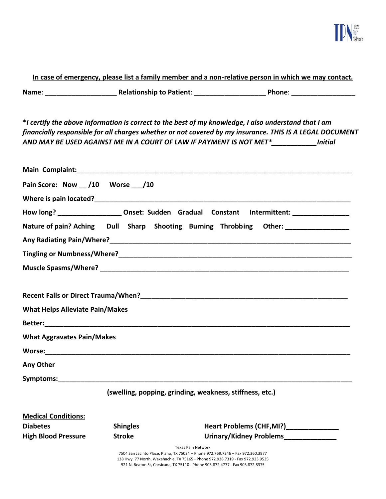

### **In case of emergency, please list a family member and a non-relative person in which we may contact.**

**Name**: \_\_\_\_\_\_\_\_\_\_\_\_\_\_\_\_\_\_\_ **Relationship to Patient**: \_\_\_\_\_\_\_\_\_\_\_\_\_\_\_\_\_\_\_ **Phone**: \_\_\_\_\_\_\_\_\_\_\_\_\_\_\_\_\_

\**I certify the above information is correct to the best of my knowledge, I also understand that I am financially responsible for all charges whether or not covered by my insurance. THIS IS A LEGAL DOCUMENT AND MAY BE USED AGAINST ME IN A COURT OF LAW IF PAYMENT IS NOT MET\*\_\_\_\_\_\_\_\_\_\_\_\_Initial* 

| Pain Score: Now __ /10 Worse __ /10                                                                                                                                                                                           |                 |                                                                                                                                                                                          |
|-------------------------------------------------------------------------------------------------------------------------------------------------------------------------------------------------------------------------------|-----------------|------------------------------------------------------------------------------------------------------------------------------------------------------------------------------------------|
|                                                                                                                                                                                                                               |                 |                                                                                                                                                                                          |
|                                                                                                                                                                                                                               |                 | How long? _____________________Onset: Sudden Gradual Constant Intermittent: _________________                                                                                            |
|                                                                                                                                                                                                                               |                 | Nature of pain? Aching Dull Sharp Shooting Burning Throbbing Other: ____________                                                                                                         |
|                                                                                                                                                                                                                               |                 |                                                                                                                                                                                          |
|                                                                                                                                                                                                                               |                 |                                                                                                                                                                                          |
|                                                                                                                                                                                                                               |                 |                                                                                                                                                                                          |
|                                                                                                                                                                                                                               |                 |                                                                                                                                                                                          |
| <b>What Helps Alleviate Pain/Makes</b>                                                                                                                                                                                        |                 |                                                                                                                                                                                          |
|                                                                                                                                                                                                                               |                 |                                                                                                                                                                                          |
| <b>What Aggravates Pain/Makes</b>                                                                                                                                                                                             |                 |                                                                                                                                                                                          |
|                                                                                                                                                                                                                               |                 |                                                                                                                                                                                          |
| Any Other                                                                                                                                                                                                                     |                 |                                                                                                                                                                                          |
| Symptoms: the contract of the contract of the contract of the contract of the contract of the contract of the contract of the contract of the contract of the contract of the contract of the contract of the contract of the |                 |                                                                                                                                                                                          |
|                                                                                                                                                                                                                               |                 | (swelling, popping, grinding, weakness, stiffness, etc.)                                                                                                                                 |
| <b>Medical Conditions:</b>                                                                                                                                                                                                    |                 |                                                                                                                                                                                          |
| <b>Diabetes</b>                                                                                                                                                                                                               | <b>Shingles</b> |                                                                                                                                                                                          |
| <b>High Blood Pressure</b>                                                                                                                                                                                                    | <b>Stroke</b>   | Urinary/Kidney Problems                                                                                                                                                                  |
|                                                                                                                                                                                                                               |                 | Texas Pain Network<br>7504 San Jacinto Place, Plano, TX 75024 - Phone 972.769.7246 - Fax 972.360.3977<br>128 Hwy. 77 North, Waxahachie, TX 75165 - Phone 972.938.7319 - Fax 972.923.9535 |

521 N. Beaton St, Corsicana, TX 75110 - Phone 903.872.4777 - Fax 903.872.8375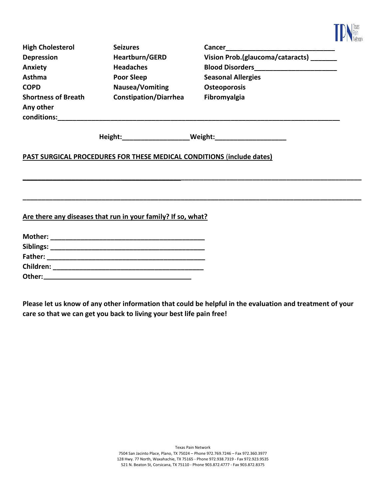

| <b>High Cholesterol</b>                                | <b>Seizures</b>              | <b>Cancer</b>                    |
|--------------------------------------------------------|------------------------------|----------------------------------|
| <b>Depression</b>                                      | <b>Heartburn/GERD</b>        | Vision Prob.(glaucoma/cataracts) |
| Anxiety                                                | <b>Headaches</b>             | <b>Blood Disorders</b>           |
| <b>Asthma</b>                                          | Poor Sleep                   | <b>Seasonal Allergies</b>        |
| <b>COPD</b>                                            | Nausea/Vomiting              | <b>Osteoporosis</b>              |
| <b>Shortness of Breath</b><br>Any other<br>conditions: | <b>Constipation/Diarrhea</b> | Fibromyalgia                     |
|                                                        | Height:                      | Weight:                          |

**\_\_\_\_\_\_\_\_\_\_\_\_\_\_\_\_\_\_\_\_\_\_\_\_\_\_\_\_\_\_\_\_\_\_\_\_\_\_\_\_\_\_\_\_\_\_\_\_\_\_\_\_\_\_\_\_\_\_\_\_\_\_\_\_\_\_\_\_\_\_\_\_\_\_\_\_\_\_\_\_\_\_\_\_\_\_\_\_\_\_**

**\_\_\_\_\_\_\_\_\_\_\_\_\_\_\_\_\_\_\_\_\_\_\_\_\_\_\_\_\_\_\_\_\_\_\_\_\_\_\_\_\_\_\_\_\_\_\_\_\_\_\_\_\_\_\_\_\_\_\_\_\_\_\_\_\_\_\_\_\_\_\_\_\_\_\_\_\_\_\_\_\_\_\_\_\_\_\_\_\_\_**

## **PAST SURGICAL PROCEDURES FOR THESE MEDICAL CONDITIONS** (**include dates)**

**Are there any diseases that run in your family? If so, what?**

| Mother:   |  |
|-----------|--|
| Siblings: |  |
| Father:   |  |
| Children: |  |
| Other:    |  |

**Please let us know of any other information that could be helpful in the evaluation and treatment of your care so that we can get you back to living your best life pain free!**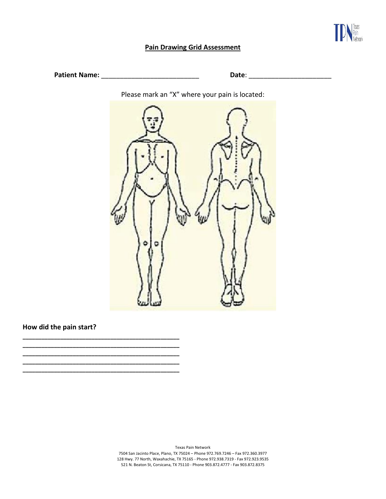

### **Pain Drawing Grid Assessment**

**Patient Name:** \_\_\_\_\_\_\_\_\_\_\_\_\_\_\_\_\_\_\_\_\_\_\_\_\_\_ **Date**: \_\_\_\_\_\_\_\_\_\_\_\_\_\_\_\_\_\_\_\_\_\_

Please mark an "X" where your pain is located:



### **How did the pain start?**

**\_\_\_\_\_\_\_\_\_\_\_\_\_\_\_\_\_\_\_\_\_\_\_\_\_\_\_\_\_\_\_\_\_\_\_\_\_\_\_\_\_\_\_\_\_\_\_\_\_\_ \_\_\_\_\_\_\_\_\_\_\_\_\_\_\_\_\_\_\_\_\_\_\_\_\_\_\_\_\_\_\_\_\_\_\_\_\_\_\_\_\_\_\_\_\_\_\_\_\_\_ \_\_\_\_\_\_\_\_\_\_\_\_\_\_\_\_\_\_\_\_\_\_\_\_\_\_\_\_\_\_\_\_\_\_\_\_\_\_\_\_\_\_\_\_\_\_\_\_\_\_ \_\_\_\_\_\_\_\_\_\_\_\_\_\_\_\_\_\_\_\_\_\_\_\_\_\_\_\_\_\_\_\_\_\_\_\_\_\_\_\_\_\_\_\_\_\_\_\_\_\_ \_\_\_\_\_\_\_\_\_\_\_\_\_\_\_\_\_\_\_\_\_\_\_\_\_\_\_\_\_\_\_\_\_\_\_\_\_\_\_\_\_\_\_\_\_\_\_\_\_\_**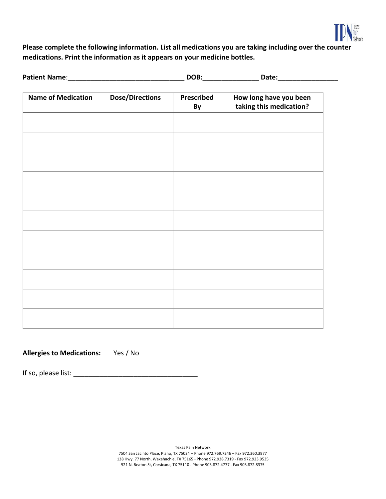

**Please complete the following information. List all medications you are taking including over the counter medications. Print the information as it appears on your medicine bottles.**

| <b>Name of Medication</b> | <b>Dose/Directions</b> | Prescribed<br>By | How long have you been<br>taking this medication? |
|---------------------------|------------------------|------------------|---------------------------------------------------|
|                           |                        |                  |                                                   |
|                           |                        |                  |                                                   |
|                           |                        |                  |                                                   |
|                           |                        |                  |                                                   |
|                           |                        |                  |                                                   |
|                           |                        |                  |                                                   |
|                           |                        |                  |                                                   |
|                           |                        |                  |                                                   |
|                           |                        |                  |                                                   |
|                           |                        |                  |                                                   |
|                           |                        |                  |                                                   |

**Allergies to Medications:** Yes / No

If so, please list: \_\_\_\_\_\_\_\_\_\_\_\_\_\_\_\_\_\_\_\_\_\_\_\_\_\_\_\_\_\_\_\_\_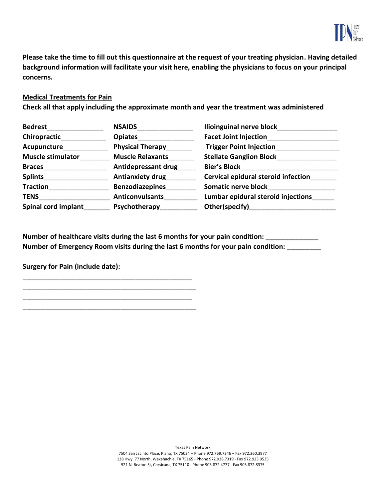

**Please take the time to fill out this questionnaire at the request of your treating physician. Having detailed background information will facilitate your visit here, enabling the physicians to focus on your principal concerns.**

### **Medical Treatments for Pain**

**Check all that apply including the approximate month and year the treatment was administered** 

| <b>Bedrest</b>           | <b>NSAIDS</b>              | <b>Ilioinguinal nerve block</b>     |
|--------------------------|----------------------------|-------------------------------------|
| Chiropractic             | <b>Opiates</b>             | <b>Facet Joint Injection</b>        |
| Acupuncture              | <b>Physical Therapy</b>    | <b>Trigger Point Injection</b>      |
| <b>Muscle stimulator</b> | <b>Muscle Relaxants</b>    | <b>Stellate Ganglion Block_</b>     |
| <b>Braces</b>            | <b>Antidepressant drug</b> | <b>Bier's Block</b>                 |
| <b>Splints</b>           | <b>Antianxiety drug</b>    | Cervical epidural steroid infection |
| <b>Traction</b>          | <b>Benzodiazepines</b>     | <b>Somatic nerve block</b>          |
| <b>TENS</b>              | <b>Anticonvulsants</b>     | Lumbar epidural steroid injections  |
| Spinal cord implant      | Psychotherapy              | Other(specify)                      |

Number of healthcare visits during the last 6 months for your pain condition: **Number of Emergency Room visits during the last 6 months for your pain condition: \_\_\_\_\_\_\_\_\_**

### **Surgery for Pain (include date):**

\_\_\_\_\_\_\_\_\_\_\_\_\_\_\_\_\_\_\_\_\_\_\_\_\_\_\_\_\_\_\_\_\_\_\_\_\_\_\_\_\_\_\_\_\_ \_\_\_\_\_\_\_\_\_\_\_\_\_\_\_\_\_\_\_\_\_\_\_\_\_\_\_\_\_\_\_\_\_\_\_\_\_\_\_\_\_\_\_\_\_\_ \_\_\_\_\_\_\_\_\_\_\_\_\_\_\_\_\_\_\_\_\_\_\_\_\_\_\_\_\_\_\_\_\_\_\_\_\_\_\_\_\_\_\_\_\_ \_\_\_\_\_\_\_\_\_\_\_\_\_\_\_\_\_\_\_\_\_\_\_\_\_\_\_\_\_\_\_\_\_\_\_\_\_\_\_\_\_\_\_\_\_\_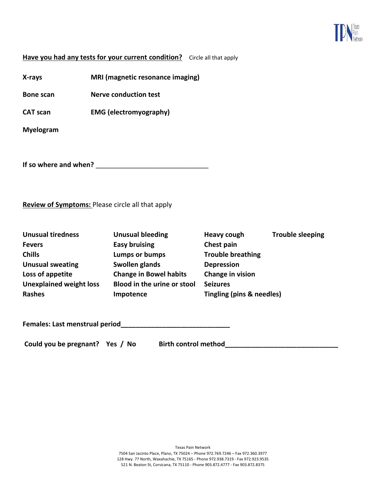

### **Have you had any tests for your current condition?** Circle all that apply

**X-rays MRI (magnetic resonance imaging)**

**Bone scan Nerve conduction test**

**CAT scan EMG (electromyography)**

**Myelogram**

**If so where and when?** \_\_\_\_\_\_\_\_\_\_\_\_\_\_\_\_\_\_\_\_\_\_\_\_\_\_\_\_\_\_

### **Review of Symptoms:** Please circle all that apply

| <b>Unusual bleeding</b>       | <b>Heavy cough</b>        | <b>Trouble sleeping</b> |
|-------------------------------|---------------------------|-------------------------|
| <b>Easy bruising</b>          | Chest pain                |                         |
| Lumps or bumps                | <b>Trouble breathing</b>  |                         |
| Swollen glands                | <b>Depression</b>         |                         |
| <b>Change in Bowel habits</b> | Change in vision          |                         |
| Blood in the urine or stool   | <b>Seizures</b>           |                         |
| Impotence                     | Tingling (pins & needles) |                         |
|                               |                           |                         |

**Females: Last menstrual period\_\_\_\_\_\_\_\_\_\_\_\_\_\_\_\_\_\_\_\_\_\_\_\_\_\_\_\_\_**

Could you be pregnant? Yes / No Birth control method\_\_\_\_\_\_\_\_\_\_\_\_\_\_\_\_\_\_\_\_\_\_\_\_\_\_\_\_\_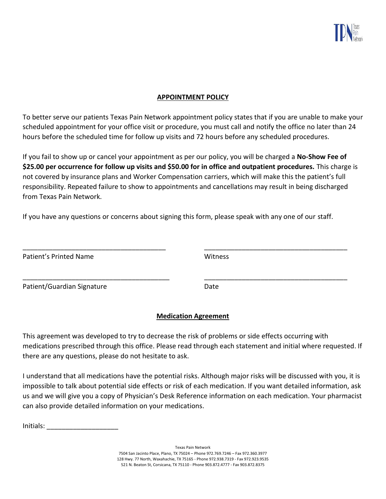

### **APPOINTMENT POLICY**

To better serve our patients Texas Pain Network appointment policy states that if you are unable to make your scheduled appointment for your office visit or procedure, you must call and notify the office no later than 24 hours before the scheduled time for follow up visits and 72 hours before any scheduled procedures.

If you fail to show up or cancel your appointment as per our policy, you will be charged a **No-Show Fee of \$25.00 per occurrence for follow up visits and \$50.00 for in office and outpatient procedures.** This charge is not covered by insurance plans and Worker Compensation carriers, which will make this the patient's full responsibility. Repeated failure to show to appointments and cancellations may result in being discharged from Texas Pain Network.

If you have any questions or concerns about signing this form, please speak with any one of our staff.

| Patient's Printed Name     | Witness |
|----------------------------|---------|
| Patient/Guardian Signature | Date    |

### **Medication Agreement**

This agreement was developed to try to decrease the risk of problems or side effects occurring with medications prescribed through this office. Please read through each statement and initial where requested. If there are any questions, please do not hesitate to ask.

I understand that all medications have the potential risks. Although major risks will be discussed with you, it is impossible to talk about potential side effects or risk of each medication. If you want detailed information, ask us and we will give you a copy of Physician's Desk Reference information on each medication. Your pharmacist can also provide detailed information on your medications.

Initials: \_\_\_\_\_\_\_\_\_\_\_\_\_\_\_\_\_\_\_

Texas Pain Network 7504 San Jacinto Place, Plano, TX 75024 – Phone 972.769.7246 – Fax 972.360.3977 128 Hwy. 77 North, Waxahachie, TX 75165 - Phone 972.938.7319 - Fax 972.923.9535 521 N. Beaton St, Corsicana, TX 75110 - Phone 903.872.4777 - Fax 903.872.8375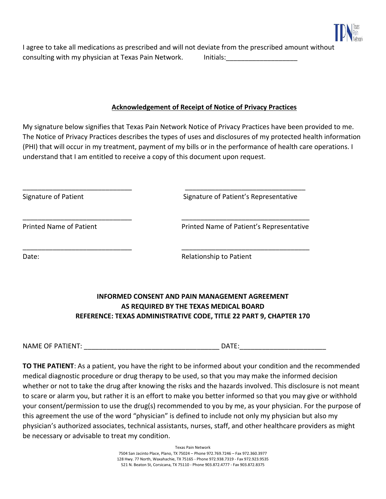

I agree to take all medications as prescribed and will not deviate from the prescribed amount without consulting with my physician at Texas Pain Network. Initials: [100] Initials:

### **Acknowledgement of Receipt of Notice of Privacy Practices**

My signature below signifies that Texas Pain Network Notice of Privacy Practices have been provided to me. The Notice of Privacy Practices describes the types of uses and disclosures of my protected health information (PHI) that will occur in my treatment, payment of my bills or in the performance of health care operations. I understand that I am entitled to receive a copy of this document upon request.

\_\_\_\_\_\_\_\_\_\_\_\_\_\_\_\_\_\_\_\_\_\_\_\_\_\_\_\_\_ \_\_\_\_\_\_\_\_\_\_\_\_\_\_\_\_\_\_\_\_\_\_\_\_\_\_\_\_\_\_\_\_

\_\_\_\_\_\_\_\_\_\_\_\_\_\_\_\_\_\_\_\_\_\_\_\_\_\_\_\_\_ \_\_\_\_\_\_\_\_\_\_\_\_\_\_\_\_\_\_\_\_\_\_\_\_\_\_\_\_\_\_\_\_\_\_

\_\_\_\_\_\_\_\_\_\_\_\_\_\_\_\_\_\_\_\_\_\_\_\_\_\_\_\_\_ \_\_\_\_\_\_\_\_\_\_\_\_\_\_\_\_\_\_\_\_\_\_\_\_\_\_\_\_\_\_\_\_\_\_

Signature of Patient Signature of Patient's Representative

Printed Name of Patient **Printed Name of Patient's Representative** 

Date: Network and the Contract of the Relationship to Patient

# **INFORMED CONSENT AND PAIN MANAGEMENT AGREEMENT AS REQUIRED BY THE TEXAS MEDICAL BOARD REFERENCE: TEXAS ADMINISTRATIVE CODE, TITLE 22 PART 9, CHAPTER 170**

NAME OF PATIENT: \_\_\_\_\_\_\_\_\_\_\_\_\_\_\_\_\_\_\_\_\_\_\_\_\_\_\_\_\_\_\_\_\_\_\_\_ DATE:\_\_\_\_\_\_\_\_\_\_\_\_\_\_\_\_\_\_\_\_\_\_\_

**TO THE PATIENT**: As a patient, you have the right to be informed about your condition and the recommended medical diagnostic procedure or drug therapy to be used, so that you may make the informed decision whether or not to take the drug after knowing the risks and the hazards involved. This disclosure is not meant to scare or alarm you, but rather it is an effort to make you better informed so that you may give or withhold your consent/permission to use the drug(s) recommended to you by me, as your physician. For the purpose of this agreement the use of the word "physician" is defined to include not only my physician but also my physician's authorized associates, technical assistants, nurses, staff, and other healthcare providers as might be necessary or advisable to treat my condition.

> Texas Pain Network 7504 San Jacinto Place, Plano, TX 75024 – Phone 972.769.7246 – Fax 972.360.3977 128 Hwy. 77 North, Waxahachie, TX 75165 - Phone 972.938.7319 - Fax 972.923.9535 521 N. Beaton St, Corsicana, TX 75110 - Phone 903.872.4777 - Fax 903.872.8375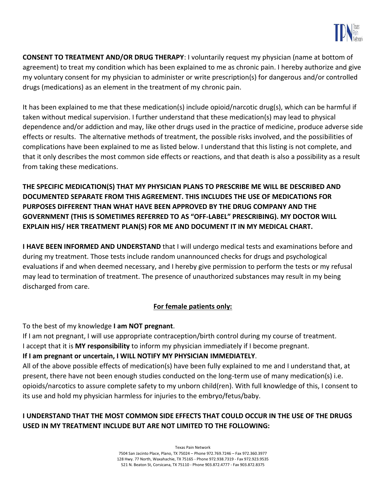

**CONSENT TO TREATMENT AND/OR DRUG THERAPY**: I voluntarily request my physician (name at bottom of agreement) to treat my condition which has been explained to me as chronic pain. I hereby authorize and give my voluntary consent for my physician to administer or write prescription(s) for dangerous and/or controlled drugs (medications) as an element in the treatment of my chronic pain.

It has been explained to me that these medication(s) include opioid/narcotic drug(s), which can be harmful if taken without medical supervision. I further understand that these medication(s) may lead to physical dependence and/or addiction and may, like other drugs used in the practice of medicine, produce adverse side effects or results. The alternative methods of treatment, the possible risks involved, and the possibilities of complications have been explained to me as listed below. I understand that this listing is not complete, and that it only describes the most common side effects or reactions, and that death is also a possibility as a result from taking these medications.

**THE SPECIFIC MEDICATION(S) THAT MY PHYSICIAN PLANS TO PRESCRIBE ME WILL BE DESCRIBED AND DOCUMENTED SEPARATE FROM THIS AGREEMENT. THIS INCLUDES THE USE OF MEDICATIONS FOR PURPOSES DIFFERENT THAN WHAT HAVE BEEN APPROVED BY THE DRUG COMPANY AND THE GOVERNMENT (THIS IS SOMETIMES REFERRED TO AS "OFF-LABEL" PRESCRIBING). MY DOCTOR WILL EXPLAIN HIS/ HER TREATMENT PLAN(S) FOR ME AND DOCUMENT IT IN MY MEDICAL CHART.** 

**I HAVE BEEN INFORMED AND UNDERSTAND** that I will undergo medical tests and examinations before and during my treatment. Those tests include random unannounced checks for drugs and psychological evaluations if and when deemed necessary, and I hereby give permission to perform the tests or my refusal may lead to termination of treatment. The presence of unauthorized substances may result in my being discharged from care.

## **For female patients only:**

To the best of my knowledge **I am NOT pregnant**.

If I am not pregnant, I will use appropriate contraception/birth control during my course of treatment. I accept that it is **MY responsibility** to inform my physician immediately if I become pregnant.

### **If I am pregnant or uncertain, I WILL NOTIFY MY PHYSICIAN IMMEDIATELY**.

All of the above possible effects of medication(s) have been fully explained to me and I understand that, at present, there have not been enough studies conducted on the long-term use of many medication(s) i.e. opioids/narcotics to assure complete safety to my unborn child(ren). With full knowledge of this, I consent to its use and hold my physician harmless for injuries to the embryo/fetus/baby.

## **I UNDERSTAND THAT THE MOST COMMON SIDE EFFECTS THAT COULD OCCUR IN THE USE OF THE DRUGS USED IN MY TREATMENT INCLUDE BUT ARE NOT LIMITED TO THE FOLLOWING:**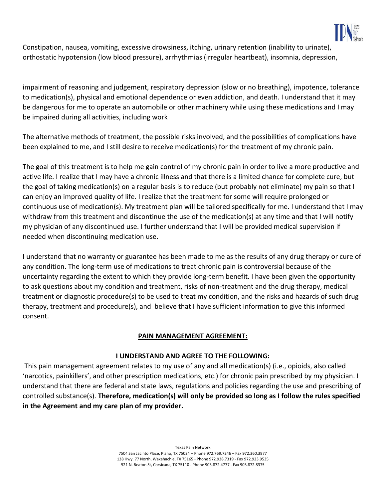

Constipation, nausea, vomiting, excessive drowsiness, itching, urinary retention (inability to urinate), orthostatic hypotension (low blood pressure), arrhythmias (irregular heartbeat), insomnia, depression,

impairment of reasoning and judgement, respiratory depression (slow or no breathing), impotence, tolerance to medication(s), physical and emotional dependence or even addiction, and death. I understand that it may be dangerous for me to operate an automobile or other machinery while using these medications and I may be impaired during all activities, including work

The alternative methods of treatment, the possible risks involved, and the possibilities of complications have been explained to me, and I still desire to receive medication(s) for the treatment of my chronic pain.

The goal of this treatment is to help me gain control of my chronic pain in order to live a more productive and active life. I realize that I may have a chronic illness and that there is a limited chance for complete cure, but the goal of taking medication(s) on a regular basis is to reduce (but probably not eliminate) my pain so that I can enjoy an improved quality of life. I realize that the treatment for some will require prolonged or continuous use of medication(s). My treatment plan will be tailored specifically for me. I understand that I may withdraw from this treatment and discontinue the use of the medication(s) at any time and that I will notify my physician of any discontinued use. I further understand that I will be provided medical supervision if needed when discontinuing medication use.

I understand that no warranty or guarantee has been made to me as the results of any drug therapy or cure of any condition. The long-term use of medications to treat chronic pain is controversial because of the uncertainty regarding the extent to which they provide long-term benefit. I have been given the opportunity to ask questions about my condition and treatment, risks of non-treatment and the drug therapy, medical treatment or diagnostic procedure(s) to be used to treat my condition, and the risks and hazards of such drug therapy, treatment and procedure(s), and believe that I have sufficient information to give this informed consent.

### **PAIN MANAGEMENT AGREEMENT:**

### **I UNDERSTAND AND AGREE TO THE FOLLOWING:**

This pain management agreement relates to my use of any and all medication(s) (i.e., opioids, also called 'narcotics, painkillers', and other prescription medications, etc.) for chronic pain prescribed by my physician. I understand that there are federal and state laws, regulations and policies regarding the use and prescribing of controlled substance(s). **Therefore, medication(s) will only be provided so long as I follow the rules specified in the Agreement and my care plan of my provider.**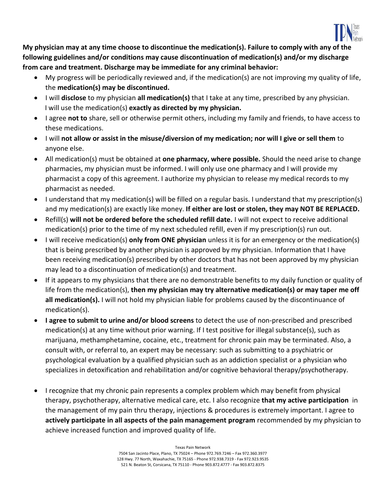

**My physician may at any time choose to discontinue the medication(s). Failure to comply with any of the following guidelines and/or conditions may cause discontinuation of medication(s) and/or my discharge from care and treatment. Discharge may be immediate for any criminal behavior:**

- My progress will be periodically reviewed and, if the medication(s) are not improving my quality of life, the **medication(s) may be discontinued.**
- I will **disclose** to my physician **all medication(s)** that I take at any time, prescribed by any physician. I will use the medication(s) **exactly as directed by my physician.**
- I agree **not to** share, sell or otherwise permit others, including my family and friends, to have access to these medications.
- I will **not allow or assist in the misuse/diversion of my medication; nor will I give or sell them** to anyone else.
- All medication(s) must be obtained at **one pharmacy, where possible.** Should the need arise to change pharmacies, my physician must be informed. I will only use one pharmacy and I will provide my pharmacist a copy of this agreement. I authorize my physician to release my medical records to my pharmacist as needed.
- I understand that my medication(s) will be filled on a regular basis. I understand that my prescription(s) and my medication(s) are exactly like money. **If either are lost or stolen, they may NOT BE REPLACED.**
- Refill(s) **will not be ordered before the scheduled refill date.** I will not expect to receive additional medication(s) prior to the time of my next scheduled refill, even if my prescription(s) run out.
- I will receive medication(s) **only from ONE physician** unless it is for an emergency or the medication(s) that is being prescribed by another physician is approved by my physician. Information that I have been receiving medication(s) prescribed by other doctors that has not been approved by my physician may lead to a discontinuation of medication(s) and treatment.
- If it appears to my physicians that there are no demonstrable benefits to my daily function or quality of life from the medication(s), **then my physician may try alternative medication(s) or may taper me off all medication(s).** I will not hold my physician liable for problems caused by the discontinuance of medication(s).
- **I agree to submit to urine and/or blood screens** to detect the use of non-prescribed and prescribed medication(s) at any time without prior warning. If I test positive for illegal substance(s), such as marijuana, methamphetamine, cocaine, etc., treatment for chronic pain may be terminated. Also, a consult with, or referral to, an expert may be necessary: such as submitting to a psychiatric or psychological evaluation by a qualified physician such as an addiction specialist or a physician who specializes in detoxification and rehabilitation and/or cognitive behavioral therapy/psychotherapy.
- I recognize that my chronic pain represents a complex problem which may benefit from physical therapy, psychotherapy, alternative medical care, etc. I also recognize **that my active participation** in the management of my pain thru therapy, injections & procedures is extremely important. I agree to **actively participate in all aspects of the pain management program** recommended by my physician to achieve increased function and improved quality of life.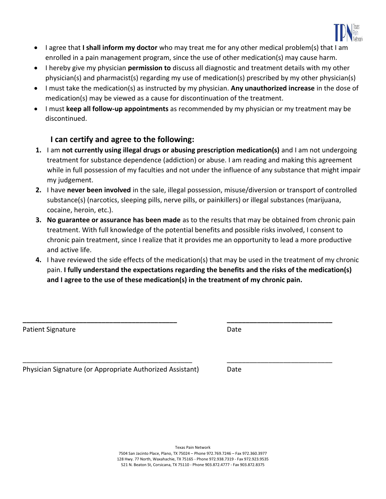

- I agree that **I shall inform my doctor** who may treat me for any other medical problem(s) that I am enrolled in a pain management program, since the use of other medication(s) may cause harm.
- I hereby give my physician **permission to** discuss all diagnostic and treatment details with my other physician(s) and pharmacist(s) regarding my use of medication(s) prescribed by my other physician(s)
- I must take the medication(s) as instructed by my physician. **Any unauthorized increase** in the dose of medication(s) may be viewed as a cause for discontinuation of the treatment.
- I must **keep all follow-up appointments** as recommended by my physician or my treatment may be discontinued.

## **I can certify and agree to the following:**

- **1.** I am **not currently using illegal drugs or abusing prescription medication(s)** and I am not undergoing treatment for substance dependence (addiction) or abuse. I am reading and making this agreement while in full possession of my faculties and not under the influence of any substance that might impair my judgement.
- **2.** I have **never been involved** in the sale, illegal possession, misuse/diversion or transport of controlled substance(s) (narcotics, sleeping pills, nerve pills, or painkillers) or illegal substances (marijuana, cocaine, heroin, etc.).
- **3. No guarantee or assurance has been made** as to the results that may be obtained from chronic pain treatment. With full knowledge of the potential benefits and possible risks involved, I consent to chronic pain treatment, since I realize that it provides me an opportunity to lead a more productive and active life.
- **4.** I have reviewed the side effects of the medication(s) that may be used in the treatment of my chronic pain. **I fully understand the expectations regarding the benefits and the risks of the medication(s) and I agree to the use of these medication(s) in the treatment of my chronic pain.**

**\_\_\_\_\_\_\_\_\_\_\_\_\_\_\_\_\_\_\_\_\_\_\_\_\_\_\_\_\_\_\_\_\_\_\_\_\_\_\_\_\_ \_\_\_\_\_\_\_\_\_\_\_\_\_\_\_\_\_\_\_\_\_\_\_\_\_\_\_\_**

\_\_\_\_\_\_\_\_\_\_\_\_\_\_\_\_\_\_\_\_\_\_\_\_\_\_\_\_\_\_\_\_\_\_\_\_\_\_\_\_\_\_\_\_\_ \_\_\_\_\_\_\_\_\_\_\_\_\_\_\_\_\_\_\_\_\_\_\_\_\_\_\_\_

Patient Signature Date Date

Physician Signature (or Appropriate Authorized Assistant) Date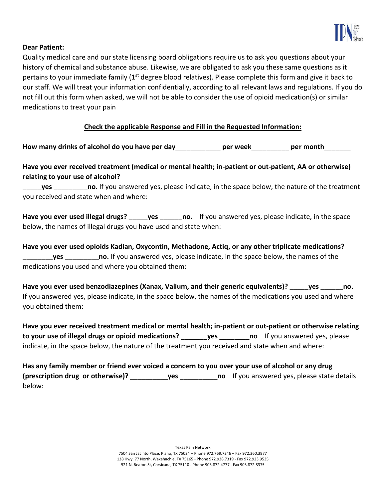

### **Dear Patient:**

Quality medical care and our state licensing board obligations require us to ask you questions about your history of chemical and substance abuse. Likewise, we are obligated to ask you these same questions as it pertains to your immediate family ( $1<sup>st</sup>$  degree blood relatives). Please complete this form and give it back to our staff. We will treat your information confidentially, according to all relevant laws and regulations. If you do not fill out this form when asked, we will not be able to consider the use of opioid medication(s) or similar medications to treat your pain

### **Check the applicable Response and Fill in the Requested Information:**

**How many drinks of alcohol do you have per day\_\_\_\_\_\_\_\_\_\_\_\_ per week\_\_\_\_\_\_\_\_\_\_ per month\_\_\_\_\_\_\_**

## **Have you ever received treatment (medical or mental health; in-patient or out-patient, AA or otherwise) relating to your use of alcohol?**

**yes no.** If you answered yes, please indicate, in the space below, the nature of the treatment you received and state when and where:

Have you ever used illegal drugs? \_\_\_\_\_yes \_\_\_\_\_\_no. If you answered yes, please indicate, in the space below, the names of illegal drugs you have used and state when:

**Have you ever used opioids Kadian, Oxycontin, Methadone, Actiq, or any other triplicate medications? \_\_\_\_\_\_\_\_yes \_\_\_\_\_\_\_\_\_no.** If you answered yes, please indicate, in the space below, the names of the medications you used and where you obtained them:

**Have you ever used benzodiazepines (Xanax, Valium, and their generic equivalents)? \_\_\_\_\_yes \_\_\_\_\_\_no.** If you answered yes, please indicate, in the space below, the names of the medications you used and where you obtained them:

**Have you ever received treatment medical or mental health; in-patient or out-patient or otherwise relating to your use of illegal drugs or opioid medications? \_\_\_\_\_\_\_yes \_\_\_\_\_\_\_\_no** If you answered yes, please indicate, in the space below, the nature of the treatment you received and state when and where:

**Has any family member or friend ever voiced a concern to you over your use of alcohol or any drug (prescription drug or otherwise)? \_\_\_\_\_\_\_\_\_\_yes \_\_\_\_\_\_\_\_\_\_no** If you answered yes, please state details below: